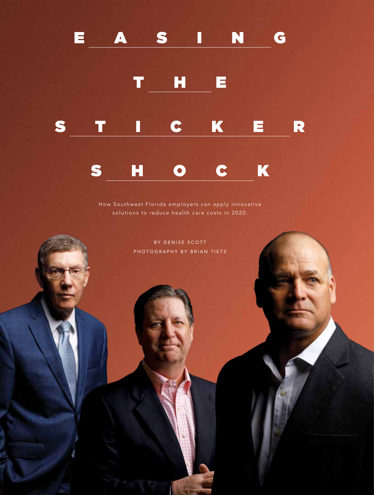# E A S I N G



How Southwest Florida employers can apply innovative solutions to reduce health care costs in 2020.

> BY DENISE SCOTT PHOTOGRAPHY BY BRIAN TIETZ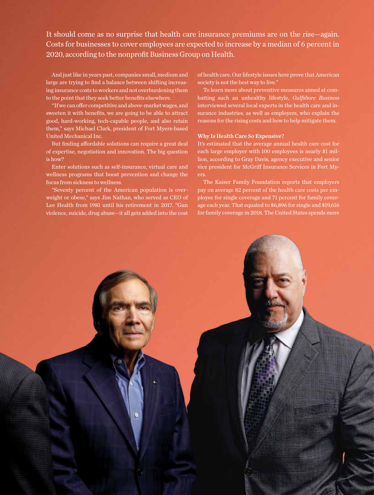It should come as no surprise that health care insurance premiums are on the rise—again. Costs for businesses to cover employees are expected to increase by a median of 6 percent in 2020, according to the nonprofit Business Group on Health.

And just like in years past, companies small, medium and large are trying to find a balance between shifting increasing insurance costs to workers and not overburdening them to the point that they seek better benefits elsewhere.

"If we can offer competitive and above-market wages, and sweeten it with benefits, we are going to be able to attract good, hard-working, tech-capable people, and also retain them," says Michael Clark, president of Fort Myers-based United Mechanical Inc.

But finding affordable solutions can require a great deal of expertise, negotiation and innovation. The big question is how?

Enter solutions such as self-insurance, virtual care and wellness programs that boost prevention and change the focus from sickness to wellness.

"Seventy percent of the American population is overweight or obese," says Jim Nathan, who served as CEO of Lee Health from 1981 until his retirement in 2017. "Gun violence, suicide, drug abuse—it all gets added into the cost of health care. Our lifestyle issues here prove that American society is not the best way to live."

To learn more about preventive measures aimed at combatting such an unhealthy lifestyle, *Gulfshore Business*  interviewed several local experts in the health care and insurance industries, as well as employers, who explain the reasons for the rising costs and how to help mitigate them.

### Why Is Health Care So Expensive?

It's estimated that the average annual health care cost for each large employer with 100 employees is nearly \$1 million, according to Gray Davis, agency executive and senior vice president for McGriff Insurance Services in Fort Myers.

The Kaiser Family Foundation reports that employers pay on average 82 percent of the health care costs per employee for single coverage and 71 percent for family coverage each year. That equated to \$6,896 for single and \$19,616 for family coverage in 2018. The United States spends more

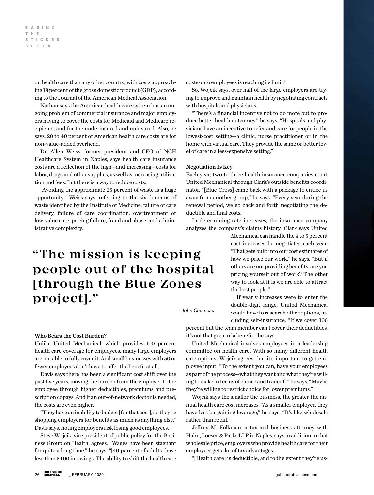on health care than any other country, with costs approaching 18 percent of the gross domestic product (GDP), according to the Journal of the American Medical Association.

Nathan says the American health care system has an ongoing problem of commercial insurance and major employers having to cover the costs for Medicaid and Medicare recipients, and for the underinsured and uninsured. Also, he says, 20 to 40 percent of American health care costs are for non-value-added overhead.

Dr. Allen Weiss, former president and CEO of NCH Healthcare System in Naples, says health care insurance costs are a reflection of the high—and increasing—costs for labor, drugs and other supplies, as well as increasing utilization and fees. But there is a way to reduce costs.

"Avoiding the approximate 25 percent of waste is a huge opportunity," Weiss says, referring to the six domains of waste identified by the Institute of Medicine: failure of care delivery, failure of care coordination, overtreatment or low-value care, pricing failure, fraud and abuse, and administrative complexity.

## **"The mission is keeping people out of the hospital [through the Blue Zones project]."**

*— John Chomeau*

## Who Bears the Cost Burden?

Unlike United Mechanical, which provides 100 percent health care coverage for employees, many large employers are not able to fully cover it. And small businesses with 50 or fewer employees don't have to offer the benefit at all.

Davis says there has been a significant cost shift over the past five years, moving the burden from the employer to the employee through higher deductibles, premiums and prescription copays. And if an out-of-network doctor is needed, the costs are even higher.

"They have an inability to budget [for that cost], so they're shopping employers for benefits as much as anything else," Davis says, noting employers risk losing good employees.

Steve Wojcik, vice president of public policy for the Business Group on Health, agrees. "Wages have been stagnant for quite a long time," he says. "[40 percent of adults] have less than \$400 in savings. The ability to shift the health care costs onto employees is reaching its limit."

So, Wojcik says, over half of the large employers are trying to improve and maintain health by negotiating contracts with hospitals and physicians.

"There's a financial incentive not to do more but to produce better health outcomes," he says. "Hospitals and physicians have an incentive to refer and care for people in the lowest-cost setting—a clinic, nurse practitioner or in the home with virtual care. They provide the same or better level of care in a less-expensive setting."

#### Negotiation Is Key

Each year, two to three health insurance companies court United Mechanical through Clark's outside benefits coordinator. "[Blue Cross] came back with a package to entice us away from another group," he says. "Every year during the renewal period, we go back and forth negotiating the deductible and final costs."

In determining rate increases, the insurance company analyzes the company's claims history. Clark says United

> Mechanical can handle the 4 to 5 percent cost increases he negotiates each year. "That gets built into our cost estimates of how we price our work," he says. "But if others are not providing benefits, are you pricing yourself out of work? The other way to look at it is we are able to attract the best people."

> If yearly increases were to enter the double-digit range, United Mechanical would have to research other options, including self-insurance. "If we cover 100

percent but the team member can't cover their deductibles, it's not that great of a benefit," he says.

United Mechanical involves employees in a leadership committee on health care. With so many different health care options, Wojcik agrees that it's important to get employee input. "To the extent you can, have your employees as part of the process—what they want and what they're willing to make in terms of choice and tradeoff," he says. "Maybe they're willing to restrict choice for lower premiums."

Wojcik says the smaller the business, the greater the annual health care cost increases. "As a smaller employer, they have less bargaining leverage," he says. "It's like wholesale rather than retail."

Jeffrey M. Folkman, a tax and business attorney with Hahn, Loeser & Parks LLP in Naples, says in addition to that wholesale price, employers who provide health care for their employees get a lot of tax advantages.

"[Health care] is deductible, and to the extent they're us-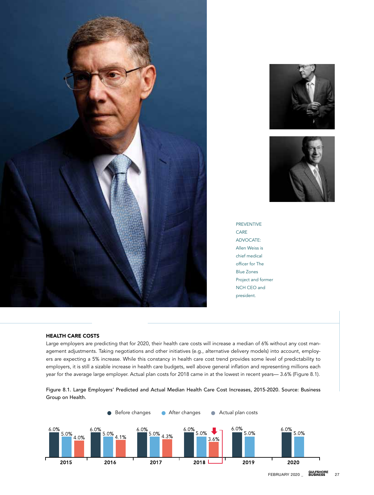





PREVENTIVE CARE ADVOCATE: Allen Weiss is chief medical officer for The Blue Zones Project and former NCH CEO and president.

## HEALTH CARE COSTS

Large employers are predicting that for 2020, their health care costs will increase a median of 6% without any cost management adjustments. Taking negotiations and other initiatives (e.g., alternative delivery models) into account, employers are expecting a 5% increase. While this constancy in health care cost trend provides some level of predictability to employers, it is still a sizable increase in health care budgets, well above general inflation and representing millions each year for the average large employer. Actual plan costs for 2018 came in at the lowest in recent years— 3.6% (Figure 8.1).



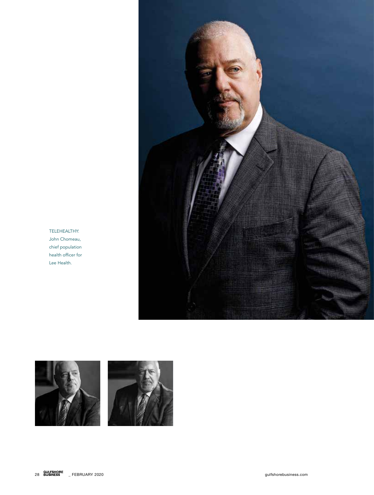

TELEHEALTHY: John Chomeau, chief population health officer for Lee Health.

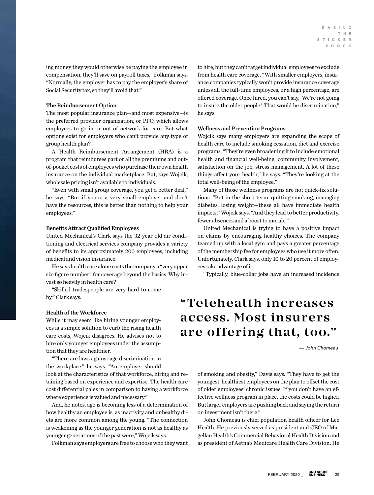ing money they would otherwise be paying the employee in compensation, they'll save on payroll taxes," Folkman says. "Normally, the employer has to pay the employer's share of Social Security tax, so they'll avoid that."

#### The Reimbursement Option

The most popular insurance plan—and most expensive—is the preferred provider organization, or PPO, which allows employees to go in or out of network for care. But what options exist for employers who can't provide any type of group health plan?

A Health Reimbursement Arrangement (HRA) is a program that reimburses part or all the premiums and outof-pocket costs of employees who purchase their own health insurance on the individual marketplace. But, says Wojcik, wholesale pricing isn't available to individuals.

"Even with small group coverage, you get a better deal," he says. "But if you're a very small employer and don't have the resources, this is better than nothing to help your employees."

#### Benefits Attract Qualified Employees

United Mechanical's Clark says the 32-year-old air conditioning and electrical services company provides a variety of benefits to its approximately 200 employees, including medical and vision insurance.

He says health care alone costs the company a "very upper six-figure number" for coverage beyond the basics. Why invest so heavily in health care?

"Skilled tradespeople are very hard to come by," Clark says.

#### Health of the Workforce

While it may seem like hiring younger employees is a simple solution to curb the rising health care costs, Wojcik disagrees. He advises not to hire only younger employees under the assumption that they are healthier.

"There are laws against age discrimination in the workplace," he says. "An employer should look at the characteristics of that workforce, hiring and retaining based on experience and expertise. The health care cost differential pales in comparison to having a workforce where experience is valued and necessary."

And, he notes, age is becoming less of a determination of how healthy an employee is, as inactivity and unhealthy diets are more common among the young. "The connection is weakening as the younger generation is not as healthy as younger generations of the past were," Wojcik says.

Folkman says employers are free to choose who they want

to hire, but they can't target individual employees to exclude from health care coverage. "With smaller employers, insurance companies typically won't provide insurance coverage unless all the full-time employees, or a high percentage, are offered coverage. Once hired, you can't say, 'We're not going to insure the older people.' That would be discrimination," he says.

#### Wellness and Prevention Programs

Wojcik says many employers are expanding the scope of health care to include smoking cessation, diet and exercise programs. "They're even broadening it to include emotional health and financial well-being, community involvement, satisfaction on the job, stress management. A lot of these things affect your health," he says. "They're looking at the total well-being of the employee."

Many of those wellness programs are not quick-fix solutions. "But in the short-term, quitting smoking, managing diabetes, losing weight—these all have immediate health impacts," Wojcik says. "And they lead to better productivity, fewer absences and a boost to morale."

United Mechanical is trying to have a positive impact on claims by encouraging healthy choices. The company teamed up with a local gym and pays a greater percentage of the membership fee for employees who use it more often. Unfortunately, Clark says, only 10 to 20 percent of employees take advantage of it.

"Typically, blue-collar jobs have an increased incidence

## **"Telehealth increases access. Most insurers are offering that, too."**

*— John Chomeau*

of smoking and obesity," Davis says. "They have to get the youngest, healthiest employees on the plan to offset the cost of older employees' chronic issues. If you don't have an effective wellness program in place, the costs could be higher. But larger employers are pushing back and saying the return on investment isn't there."

John Chomeau is chief population health officer for Lee Health. He previously served as president and CEO of Magellan Health's Commercial Behavioral Health Division and as president of Aetna's Medicare Health Care Division. He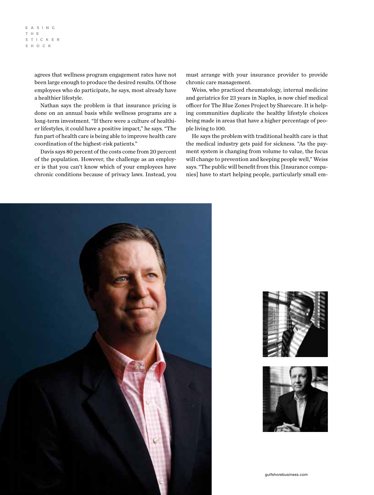#### e a s i n g t h e sticker shock

agrees that wellness program engagement rates have not been large enough to produce the desired results. Of those employees who do participate, he says, most already have a healthier lifestyle.

Nathan says the problem is that insurance pricing is done on an annual basis while wellness programs are a long-term investment. "If there were a culture of healthier lifestyles, it could have a positive impact," he says. "The fun part of health care is being able to improve health care coordination of the highest-risk patients."

Davis says 80 percent of the costs come from 20 percent of the population. However, the challenge as an employer is that you can't know which of your employees have chronic conditions because of privacy laws. Instead, you must arrange with your insurance provider to provide chronic care management.

Weiss, who practiced rheumatology, internal medicine and geriatrics for 23 years in Naples, is now chief medical officer for The Blue Zones Project by Sharecare. It is helping communities duplicate the healthy lifestyle choices being made in areas that have a higher percentage of people living to 100.

He says the problem with traditional health care is that the medical industry gets paid for sickness. "As the payment system is changing from volume to value, the focus will change to prevention and keeping people well," Weiss says. "The public will benefit from this. [Insurance companies] have to start helping people, particularly small em-





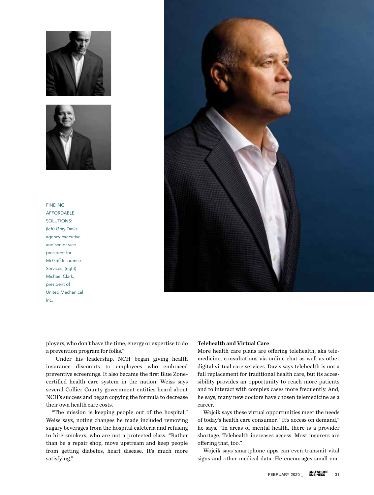



## FINDING AFFORDABLE SOLUTIONS: (left) Gray Davis, agency executive and senior vice president for McGriff Insurance Services; (right) Michael Clark, president of United Mechanical Inc.



ployers, who don't have the time, energy or expertise to do a prevention program for folks."

 Under his leadership, NCH began giving health insurance discounts to employees who embraced preventive screenings. It also became the first Blue Zonecertified health care system in the nation. Weiss says several Collier County government entities heard about NCH's success and began copying the formula to decrease their own health care costs.

"The mission is keeping people out of the hospital," Weiss says, noting changes he made included removing sugary beverages from the hospital cafeteria and refusing to hire smokers, who are not a protected class. "Rather than be a repair shop, move upstream and keep people from getting diabetes, heart disease. It's much more satisfying."

## Telehealth and Virtual Care

More health care plans are offering telehealth, aka telemedicine, consultations via online chat as well as other digital virtual care services. Davis says telehealth is not a full replacement for traditional health care, but its accessibility provides an opportunity to reach more patients and to interact with complex cases more frequently. And, he says, many new doctors have chosen telemedicine as a career.

Wojcik says these virtual opportunities meet the needs of today's health care consumer. "It's access on demand," he says. "In areas of mental health, there is a provider shortage. Telehealth increases access. Most insurers are offering that, too."

Wojcik says smartphone apps can even transmit vital signs and other medical data. He encourages small em-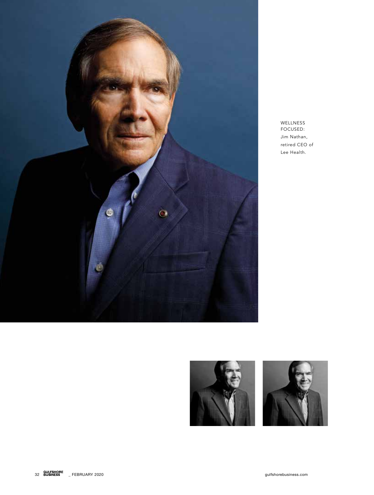

WELLNESS FOCUSED: Jim Nathan, retired CEO of Lee Health.